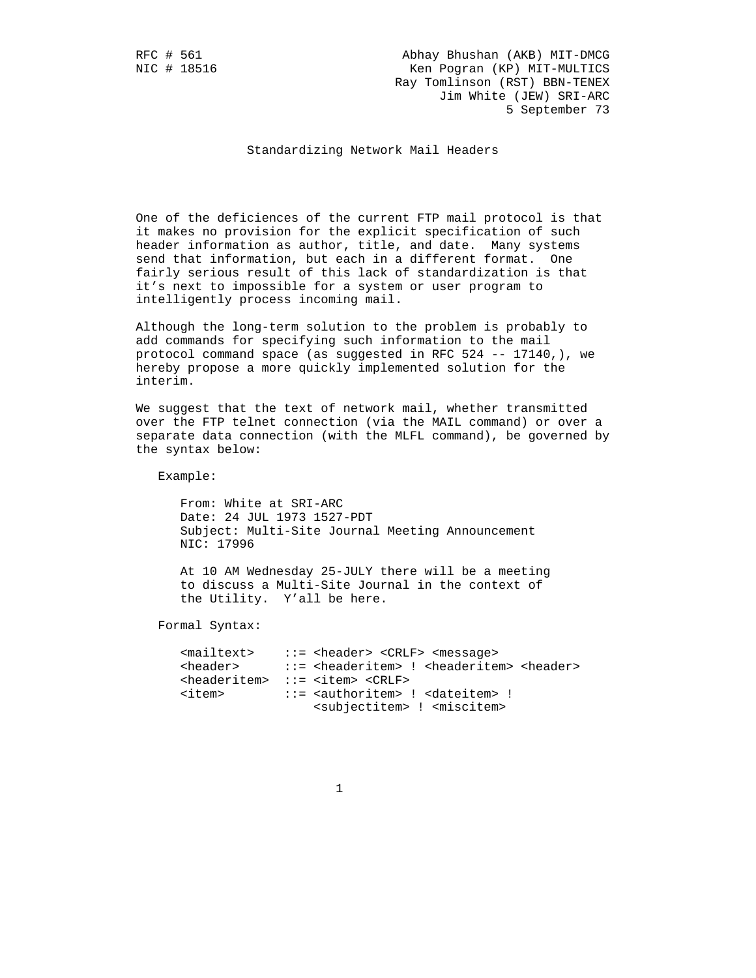RFC # 561 Abhay Bhushan (AKB) MIT-DMCG Ken Pogran (KP) MIT-MULTICS Ray Tomlinson (RST) BBN-TENEX Jim White (JEW) SRI-ARC 5 September 73

Standardizing Network Mail Headers

 One of the deficiences of the current FTP mail protocol is that it makes no provision for the explicit specification of such header information as author, title, and date. Many systems send that information, but each in a different format. One fairly serious result of this lack of standardization is that it's next to impossible for a system or user program to intelligently process incoming mail.

 Although the long-term solution to the problem is probably to add commands for specifying such information to the mail protocol command space (as suggested in RFC 524 -- 17140,), we hereby propose a more quickly implemented solution for the interim.

 We suggest that the text of network mail, whether transmitted over the FTP telnet connection (via the MAIL command) or over a separate data connection (with the MLFL command), be governed by the syntax below:

Example:

 From: White at SRI-ARC Date: 24 JUL 1973 1527-PDT Subject: Multi-Site Journal Meeting Announcement NIC: 17996

 At 10 AM Wednesday 25-JULY there will be a meeting to discuss a Multi-Site Journal in the context of the Utility. Y'all be here.

Formal Syntax:

| <mailtext></mailtext> | $::=$ <header> <crlf> <message></message></crlf></header>                                     |
|-----------------------|-----------------------------------------------------------------------------------------------|
|                       | <header> ::= <headeritem> ! <headeritem> <header></header></headeritem></headeritem></header> |
|                       | <headeritem> ::= <item> <crlf></crlf></item></headeritem>                                     |
| <item></item>         | $::=$ <authoritem> ! <dateitem> !</dateitem></authoritem>                                     |
|                       | <subjectitem> ! <miscitem></miscitem></subjectitem>                                           |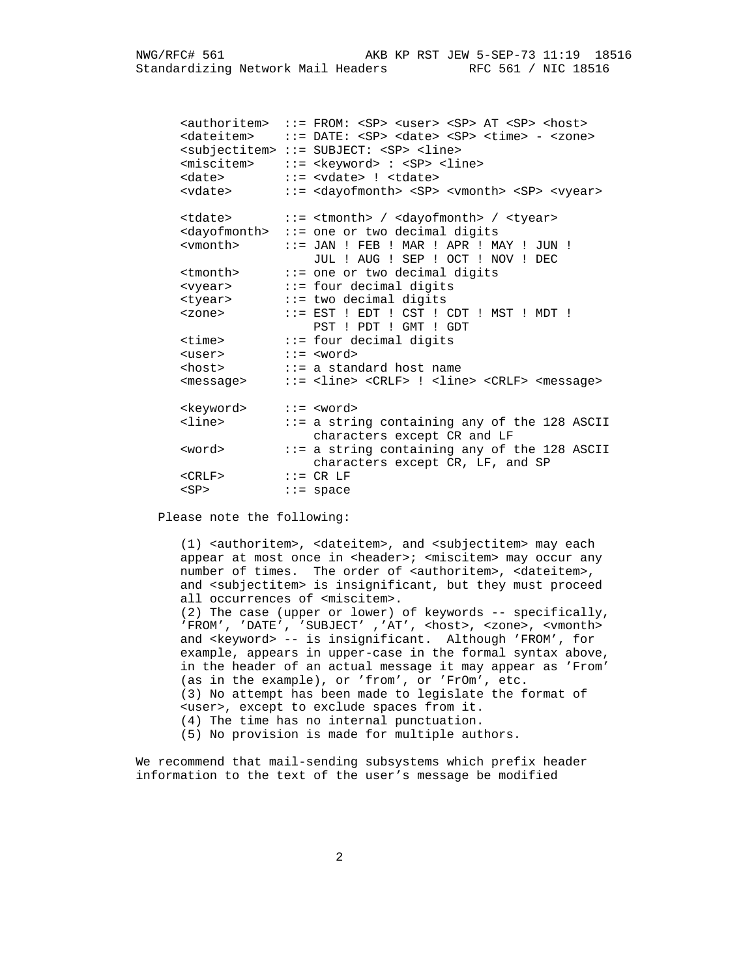<authoritem> ::= FROM: <SP> <user> <SP> AT <SP> <host> <dateitem> ::= DATE: <SP> <date> <SP> <time> - <zone> <subjectitem> ::= SUBJECT: <SP> <line> <miscitem> ::= <keyword> : <SP> <line> <date> ::= <vdate> ! <tdate> <vdate> ::= <dayofmonth> <SP> <vmonth> <SP> <vyear> <tdate> ::= <tmonth> / <dayofmonth> / <tyear> <dayofmonth> ::= one or two decimal digits <vmonth> ::= JAN ! FEB ! MAR ! APR ! MAY ! JUN ! JUL ! AUG ! SEP ! OCT ! NOV ! DEC <tmonth> ::= one or two decimal digits <vyear> ::= four decimal digits <tyear> ::= two decimal digits <zone> ::= EST ! EDT ! CST ! CDT ! MST ! MDT ! PST ! PDT ! GMT ! GDT <time> ::= four decimal digits <user> ::= <word> <host> ::= a standard host name <message> ::= <line> <CRLF> ! <line> <CRLF> <message> <keyword> ::= <word><br><line> ::= a strin ::= a string containing any of the 128 ASCII characters except CR and LF<br>
superd it a string containing any of tword in the string containing any of two states of the string of the string containing and  $\cdot$  $::= a$  string containing any of the 128 ASCII characters except CR, LF, and SP  $<$ CRLF> <SP> ::= space

Please note the following:

 (1) <authoritem>, <dateitem>, and <subjectitem> may each appear at most once in <header>; <miscitem> may occur any number of times. The order of <authoritem>, <dateitem>, and <subjectitem> is insignificant, but they must proceed all occurrences of <miscitem>. (2) The case (upper or lower) of keywords -- specifically, 'FROM', 'DATE', 'SUBJECT' ,'AT', <host>, <zone>, <vmonth> and <keyword> -- is insignificant. Although 'FROM', for example, appears in upper-case in the formal syntax above, in the header of an actual message it may appear as 'From' (as in the example), or 'from', or 'FrOm', etc. (3) No attempt has been made to legislate the format of <user>, except to exclude spaces from it. (4) The time has no internal punctuation. (5) No provision is made for multiple authors.

 We recommend that mail-sending subsystems which prefix header information to the text of the user's message be modified